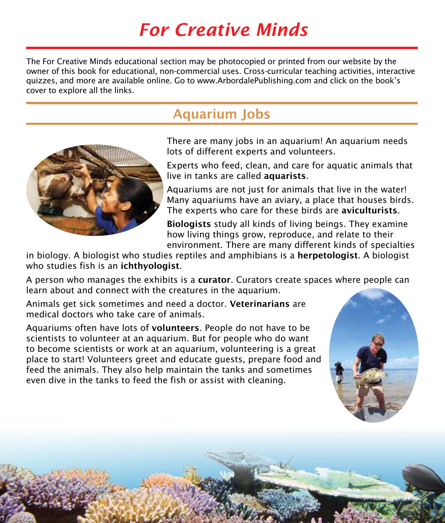## *For Creative Minds*

The For Creative Minds educational section may be photocopied or printed from our website by the owner of this book for educational, non-commercial uses. Cross-curricular teaching activities, interactive quizzes, and more are available online. Go to www.ArbordalePublishing.com and click on the book's cover to explore all the links.

## Aquarium Jobs



There are many jobs in an aquarium! An aquarium needs lots of different experts and volunteers.

Experts who feed, clean, and care for aquatic animals that live in tanks are called **aquarists**.

Aquariums are not just for animals that live in the water! Many aquariums have an aviary, a place that houses birds. The experts who care for these birds are aviculturists.

Biologists study all kinds of living beings. They examine how living things grow, reproduce, and relate to their environment. There are many different kinds of specialties

in biology. A biologist who studies reptiles and amphibians is a herpetologist. A biologist who studies fish is an ichthyologist.

A person who manages the exhibits is a curator. Curators create spaces where people can learn about and connect with the creatures in the aquarium.

Animals get sick sometimes and need a doctor. Veterinarians are medical doctors who take care of animals.

Aquariums often have lots of volunteers. People do not have to be scientists to volunteer at an aquarium. But for people who do want to become scientists or work at an aquarium, volunteering is a great place to start! Volunteers greet and educate guests, prepare food and feed the animals. They also help maintain the tanks and sometimes even dive in the tanks to feed the fish or assist with cleaning.

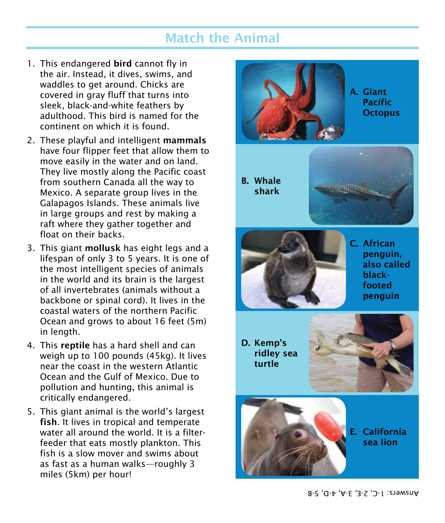## Match the Animal

- 1. This endangered bird cannot fly in the air. Instead, it dives, swims, and waddles to get around. Chicks are covered in gray fluff that turns into sleek, black-and-white feathers by adulthood. This bird is named for the continent on which it is found.
- 2. These playful and intelligent mammals have four flipper feet that allow them to move easily in the water and on land. They live mostly along the Pacific coast from southern Canada all the way to Mexico. A separate group lives in the Galapagos Islands. These animals live in large groups and rest by making a raft where they gather together and float on their backs.
- 3. This giant mollusk has eight legs and a lifespan of only 3 to 5 years. It is one of the most intelligent species of animals in the world and its brain is the largest of all invertebrates (animals without a backbone or spinal cord). It lives in the coastal waters of the northern Pacific Ocean and grows to about 16 feet (5m) in length.
- 4. This reptile has a hard shell and can weigh up to 100 pounds (45kg). It lives near the coast in the western Atlantic Ocean and the Gulf of Mexico. Due to pollution and hunting, this animal is critically endangered.
- 5. This giant animal is the world's largest fish. It lives in tropical and temperate water all around the world. It is a filterfeeder that eats mostly plankton. This fish is a slow mover and swims about as fast as a human walks—roughly 3 miles (5km) per hour!

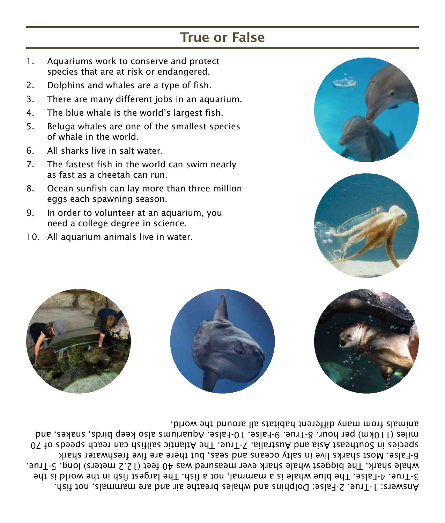Answers: 1-True. 2-False: Dolphins and whales breathe air and are mammals, not fish. 3-True. 4-False. The blue whale is a mammal, not a fish. The largest fish in the world is the whale shark. The biggest whale shark ever measured was 40 feet (12.2 meters) long. 5-True. 6-False. Most sharks live in salty oceans and seas, but there are five freshwater shark species in Southeast Asia and Australia. 7-True. The Atlantic sailfish can reach speeds of 70 miles (110km) per hour. 8-True. 9-False. 10-False. Aquariums also keep birds, snakes, and animals riom many different habitats all around the world.







- 9. In order to volunteer at an aquarium, you need a college degree in science.
- 8. Ocean sunfish can lay more than three million eggs each spawning season.
- 7. The fastest fish in the world can swim nearly as fast as a cheetah can run.
- 
- 
- 6. All sharks live in salt water.
- 5. Beluga whales are one of the smallest species of whale in the world.
- 2. Dolphins and whales are a type of fish. 3. There are many different jobs in an aquarium.

4. The blue whale is the world's largest fish.

1. Aquariums work to conserve and protect species that are at risk or endangered.